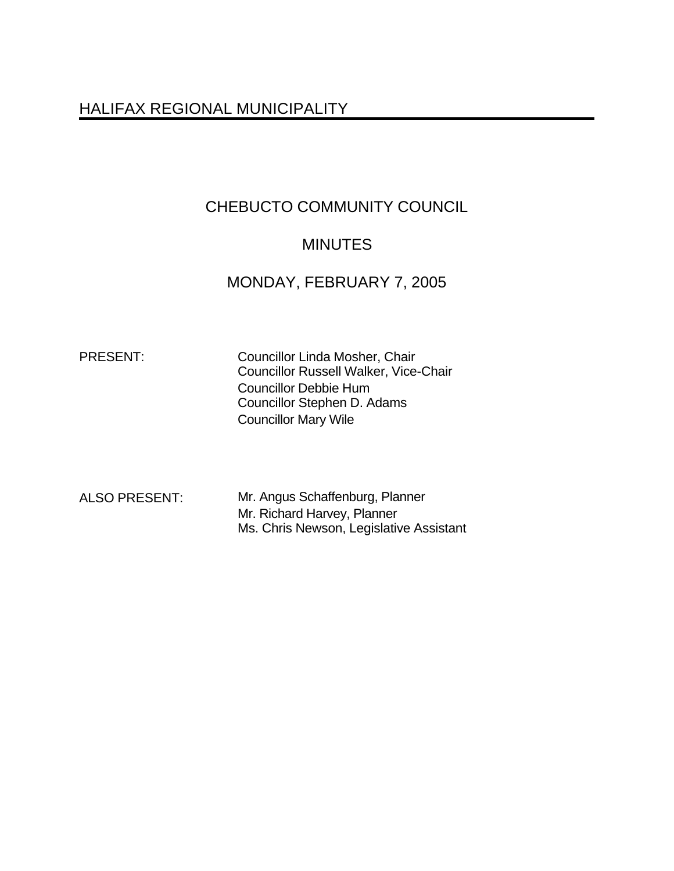## HALIFAX REGIONAL MUNICIPALITY

# CHEBUCTO COMMUNITY COUNCIL

## **MINUTES**

## MONDAY, FEBRUARY 7, 2005

PRESENT: Councillor Linda Mosher, Chair Councillor Russell Walker, Vice-Chair Councillor Debbie Hum Councillor Stephen D. Adams Councillor Mary Wile

ALSO PRESENT: Mr. Angus Schaffenburg, Planner Mr. Richard Harvey, Planner Ms. Chris Newson, Legislative Assistant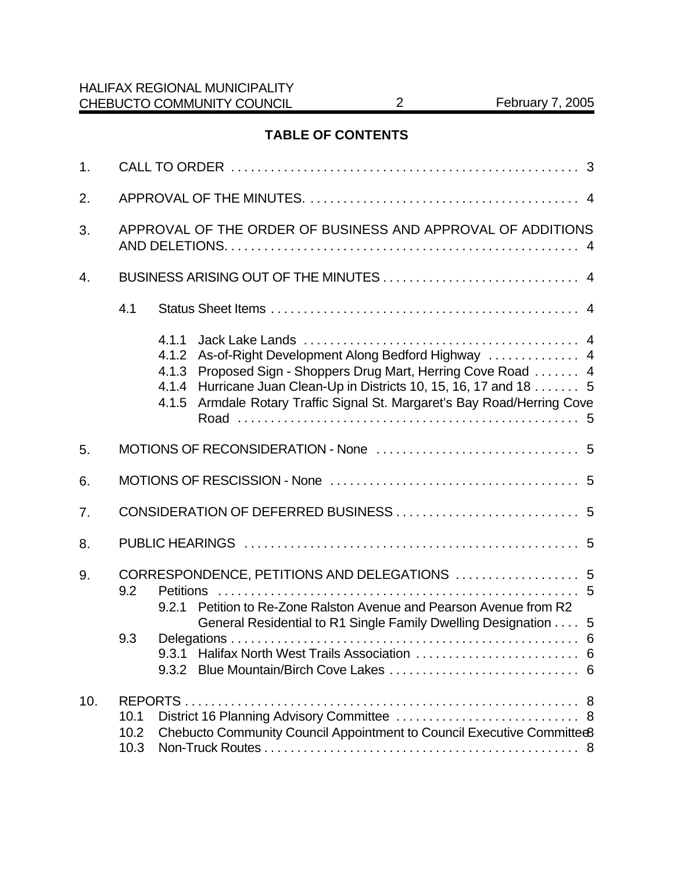## **TABLE OF CONTENTS**

| 1.  |                                                             |                                           |                                                                                                                                                                                                                                                    |  |  |  |
|-----|-------------------------------------------------------------|-------------------------------------------|----------------------------------------------------------------------------------------------------------------------------------------------------------------------------------------------------------------------------------------------------|--|--|--|
| 2.  |                                                             |                                           |                                                                                                                                                                                                                                                    |  |  |  |
| 3.  | APPROVAL OF THE ORDER OF BUSINESS AND APPROVAL OF ADDITIONS |                                           |                                                                                                                                                                                                                                                    |  |  |  |
| 4.  |                                                             |                                           |                                                                                                                                                                                                                                                    |  |  |  |
|     | 4.1                                                         |                                           |                                                                                                                                                                                                                                                    |  |  |  |
|     |                                                             | 4.1.1<br>4.1.2<br>4.1.3<br>4.1.4<br>4.1.5 | As-of-Right Development Along Bedford Highway  4<br>Proposed Sign - Shoppers Drug Mart, Herring Cove Road  4<br>Hurricane Juan Clean-Up in Districts 10, 15, 16, 17 and 18 5<br>Armdale Rotary Traffic Signal St. Margaret's Bay Road/Herring Cove |  |  |  |
| 5.  |                                                             |                                           |                                                                                                                                                                                                                                                    |  |  |  |
| 6.  |                                                             |                                           |                                                                                                                                                                                                                                                    |  |  |  |
| 7.  |                                                             |                                           |                                                                                                                                                                                                                                                    |  |  |  |
| 8.  |                                                             |                                           |                                                                                                                                                                                                                                                    |  |  |  |
| 9.  | 9.2<br>9.3                                                  | <b>Petitions</b><br>9.2.1                 | CORRESPONDENCE, PETITIONS AND DELEGATIONS  5<br>Petition to Re-Zone Ralston Avenue and Pearson Avenue from R2<br>General Residential to R1 Single Family Dwelling Designation 5                                                                    |  |  |  |
| 10. | 10.1<br>10.2<br>10.3                                        |                                           | Chebucto Community Council Appointment to Council Executive Committee8                                                                                                                                                                             |  |  |  |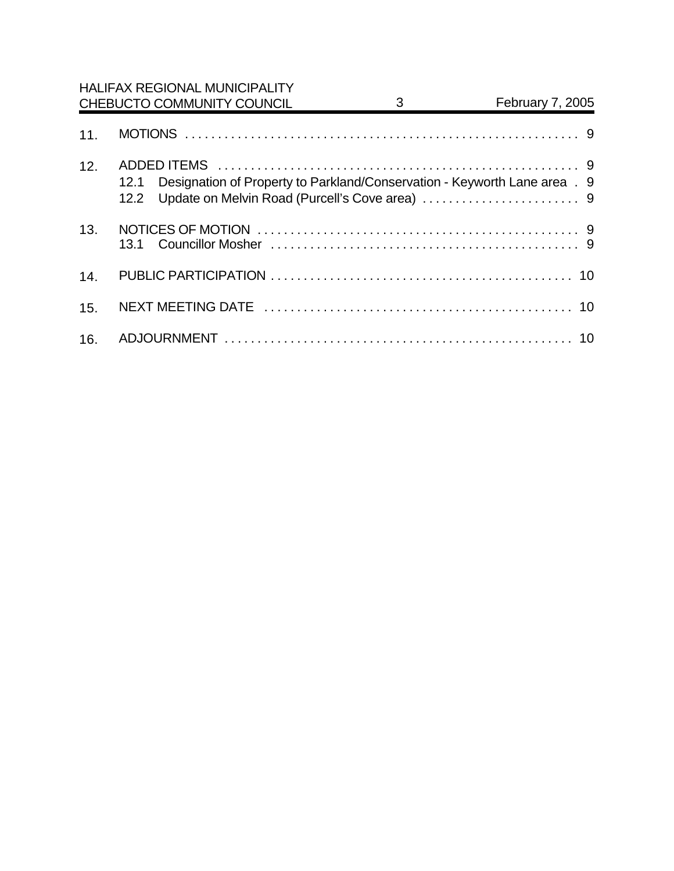|     | <b>HALIFAX REGIONAL MUNICIPALITY</b><br>CHEBUCTO COMMUNITY COUNCIL                        | 3 | February 7, 2005 |  |
|-----|-------------------------------------------------------------------------------------------|---|------------------|--|
| 11. |                                                                                           |   |                  |  |
| 12. | Designation of Property to Parkland/Conservation - Keyworth Lane area . 9<br>12.1<br>12.2 |   |                  |  |
| 13. |                                                                                           |   |                  |  |
| 14. |                                                                                           |   |                  |  |
| 15. |                                                                                           |   |                  |  |
| 16. |                                                                                           |   |                  |  |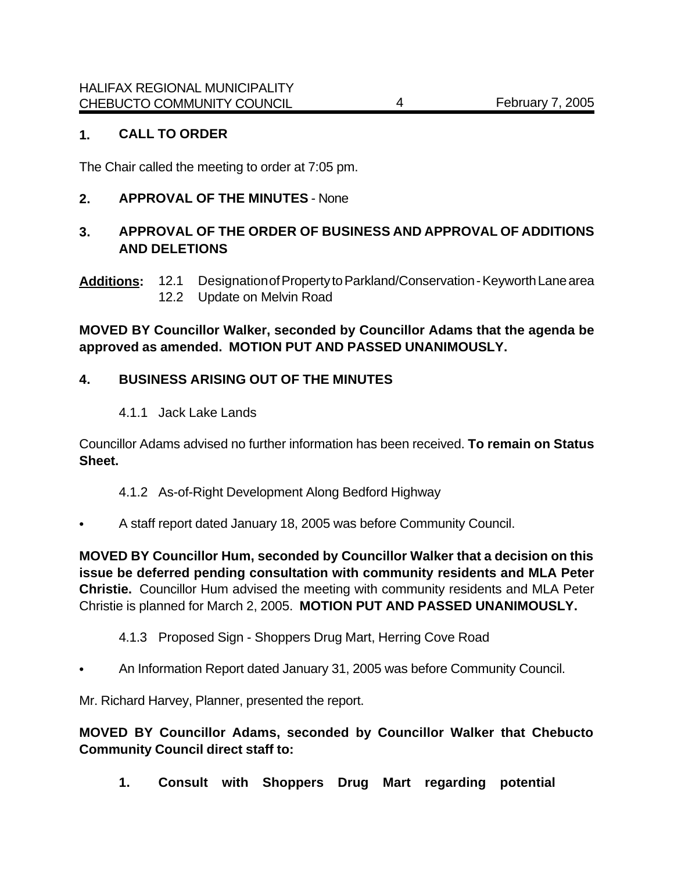#### **1. CALL TO ORDER**

The Chair called the meeting to order at 7:05 pm.

### **2. APPROVAL OF THE MINUTES** - None

## **3. APPROVAL OF THE ORDER OF BUSINESS AND APPROVAL OF ADDITIONS AND DELETIONS**

**Additions:** 12.1 Designation of Property to Parkland/Conservation - Keyworth Lane area 12.2 Update on Melvin Road

**MOVED BY Councillor Walker, seconded by Councillor Adams that the agenda be approved as amended. MOTION PUT AND PASSED UNANIMOUSLY.**

### **4. BUSINESS ARISING OUT OF THE MINUTES**

4.1.1 Jack Lake Lands

Councillor Adams advised no further information has been received. **To remain on Status Sheet.**

- 4.1.2 As-of-Right Development Along Bedford Highway
- A staff report dated January 18, 2005 was before Community Council.

**MOVED BY Councillor Hum, seconded by Councillor Walker that a decision on this issue be deferred pending consultation with community residents and MLA Peter Christie.** Councillor Hum advised the meeting with community residents and MLA Peter Christie is planned for March 2, 2005. **MOTION PUT AND PASSED UNANIMOUSLY.** 

- 4.1.3 Proposed Sign Shoppers Drug Mart, Herring Cove Road
- An Information Report dated January 31, 2005 was before Community Council.

Mr. Richard Harvey, Planner, presented the report.

### **MOVED BY Councillor Adams, seconded by Councillor Walker that Chebucto Community Council direct staff to:**

**1. Consult with Shoppers Drug Mart regarding potential**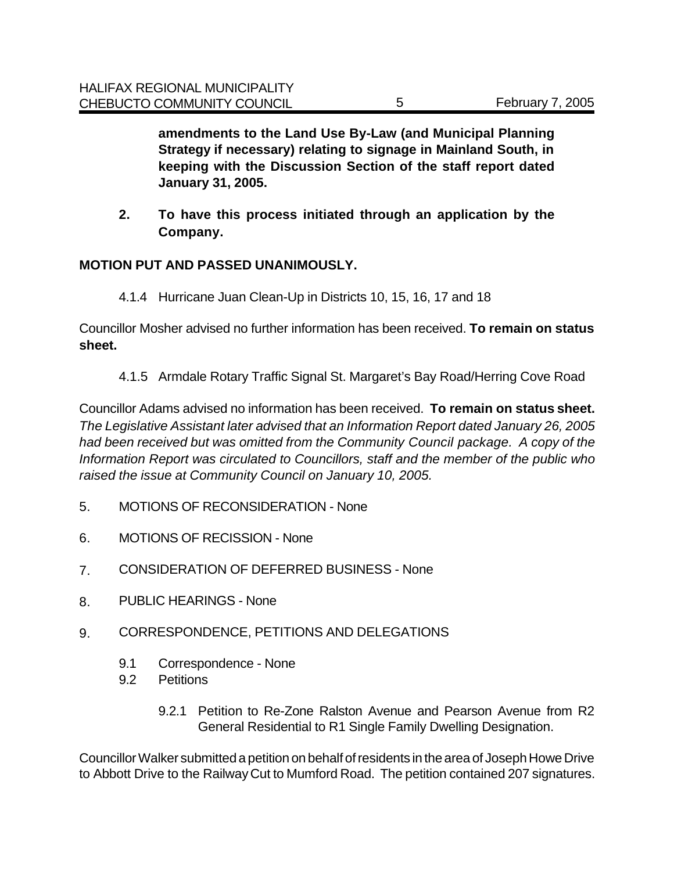**amendments to the Land Use By-Law (and Municipal Planning Strategy if necessary) relating to signage in Mainland South, in keeping with the Discussion Section of the staff report dated January 31, 2005.** 

**2. To have this process initiated through an application by the Company.**

## **MOTION PUT AND PASSED UNANIMOUSLY.**

4.1.4 Hurricane Juan Clean-Up in Districts 10, 15, 16, 17 and 18

Councillor Mosher advised no further information has been received. **To remain on status sheet.** 

4.1.5 Armdale Rotary Traffic Signal St. Margaret's Bay Road/Herring Cove Road

Councillor Adams advised no information has been received. **To remain on status sheet.** *The Legislative Assistant later advised that an Information Report dated January 26, 2005 had been received but was omitted from the Community Council package. A copy of the Information Report was circulated to Councillors, staff and the member of the public who raised the issue at Community Council on January 10, 2005.* 

- 5. MOTIONS OF RECONSIDERATION None
- 6. MOTIONS OF RECISSION None
- 7. CONSIDERATION OF DEFERRED BUSINESS None
- 8. PUBLIC HEARINGS None
- 9. CORRESPONDENCE, PETITIONS AND DELEGATIONS
	- 9.1 Correspondence None
	- 9.2 Petitions
		- 9.2.1 Petition to Re-Zone Ralston Avenue and Pearson Avenue from R2 General Residential to R1 Single Family Dwelling Designation.

Councillor Walker submitted a petition on behalf of residents in the area of Joseph Howe Drive to Abbott Drive to the Railway Cut to Mumford Road. The petition contained 207 signatures.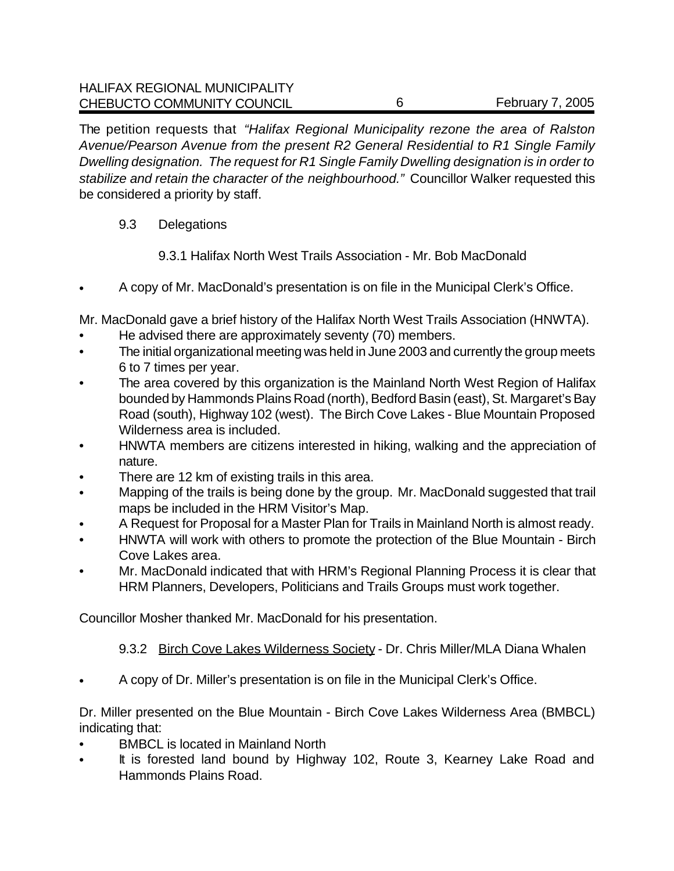The petition requests that *"Halifax Regional Municipality rezone the area of Ralston Avenue/Pearson Avenue from the present R2 General Residential to R1 Single Family Dwelling designation. The request for R1 Single Family Dwelling designation is in order to stabilize and retain the character of the neighbourhood."* Councillor Walker requested this be considered a priority by staff.

- 9.3 Delegations
	- 9.3.1 Halifax North West Trails Association Mr. Bob MacDonald
- A copy of Mr. MacDonald's presentation is on file in the Municipal Clerk's Office.

Mr. MacDonald gave a brief history of the Halifax North West Trails Association (HNWTA).

- He advised there are approximately seventy (70) members.
- The initial organizational meeting was held in June 2003 and currently the group meets 6 to 7 times per year.
- The area covered by this organization is the Mainland North West Region of Halifax bounded by Hammonds Plains Road (north), Bedford Basin (east), St. Margaret's Bay Road (south), Highway 102 (west). The Birch Cove Lakes - Blue Mountain Proposed Wilderness area is included.
- HNWTA members are citizens interested in hiking, walking and the appreciation of nature.
- There are 12 km of existing trails in this area.
- Mapping of the trails is being done by the group. Mr. MacDonald suggested that trail maps be included in the HRM Visitor's Map.
- A Request for Proposal for a Master Plan for Trails in Mainland North is almost ready.
- HNWTA will work with others to promote the protection of the Blue Mountain Birch Cove Lakes area.
- Mr. MacDonald indicated that with HRM's Regional Planning Process it is clear that HRM Planners, Developers, Politicians and Trails Groups must work together.

Councillor Mosher thanked Mr. MacDonald for his presentation.

9.3.2 Birch Cove Lakes Wilderness Society - Dr. Chris Miller/MLA Diana Whalen

• A copy of Dr. Miller's presentation is on file in the Municipal Clerk's Office.

Dr. Miller presented on the Blue Mountain - Birch Cove Lakes Wilderness Area (BMBCL) indicating that:

- BMBCL is located in Mainland North
- It is forested land bound by Highway 102, Route 3, Kearney Lake Road and Hammonds Plains Road.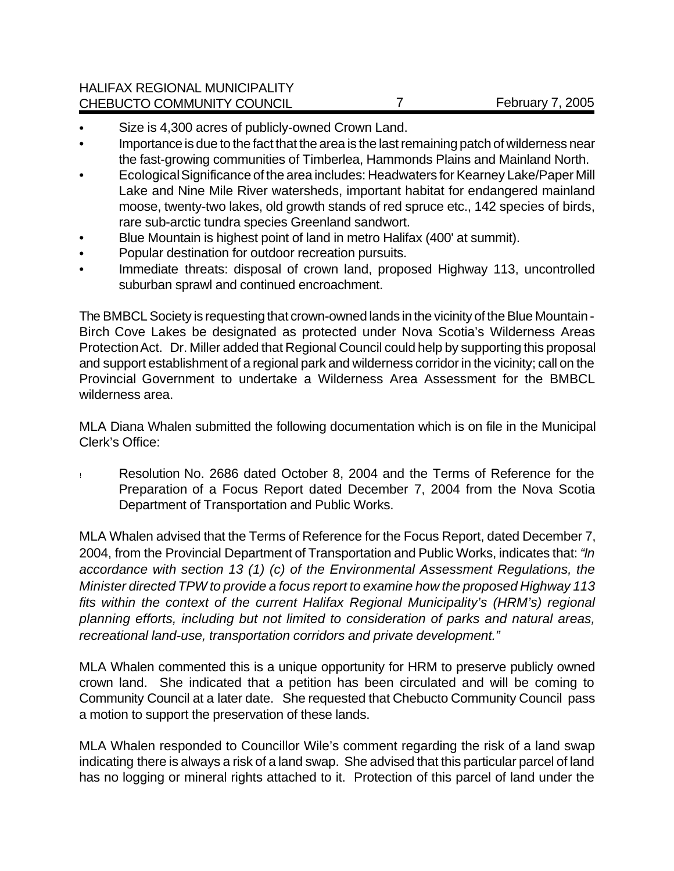- Size is 4,300 acres of publicly-owned Crown Land.
- Importance is due to the fact that the area is the last remaining patch of wilderness near the fast-growing communities of Timberlea, Hammonds Plains and Mainland North.
- Ecological Significance of the area includes: Headwaters for Kearney Lake/Paper Mill Lake and Nine Mile River watersheds, important habitat for endangered mainland moose, twenty-two lakes, old growth stands of red spruce etc., 142 species of birds, rare sub-arctic tundra species Greenland sandwort.
- Blue Mountain is highest point of land in metro Halifax (400' at summit).
- Popular destination for outdoor recreation pursuits.
- Immediate threats: disposal of crown land, proposed Highway 113, uncontrolled suburban sprawl and continued encroachment.

The BMBCL Society is requesting that crown-owned lands in the vicinity of the Blue Mountain - Birch Cove Lakes be designated as protected under Nova Scotia's Wilderness Areas Protection Act. Dr. Miller added that Regional Council could help by supporting this proposal and support establishment of a regional park and wilderness corridor in the vicinity; call on the Provincial Government to undertake a Wilderness Area Assessment for the BMBCL wilderness area.

MLA Diana Whalen submitted the following documentation which is on file in the Municipal Clerk's Office:

! Resolution No. 2686 dated October 8, 2004 and the Terms of Reference for the Preparation of a Focus Report dated December 7, 2004 from the Nova Scotia Department of Transportation and Public Works.

MLA Whalen advised that the Terms of Reference for the Focus Report, dated December 7, 2004, from the Provincial Department of Transportation and Public Works, indicates that: *"In accordance with section 13 (1) (c) of the Environmental Assessment Regulations, the Minister directed TPW to provide a focus report to examine how the proposed Highway 113 fits within the context of the current Halifax Regional Municipality's (HRM's) regional planning efforts, including but not limited to consideration of parks and natural areas, recreational land-use, transportation corridors and private development."*

MLA Whalen commented this is a unique opportunity for HRM to preserve publicly owned crown land. She indicated that a petition has been circulated and will be coming to Community Council at a later date. She requested that Chebucto Community Council pass a motion to support the preservation of these lands.

MLA Whalen responded to Councillor Wile's comment regarding the risk of a land swap indicating there is always a risk of a land swap. She advised that this particular parcel of land has no logging or mineral rights attached to it. Protection of this parcel of land under the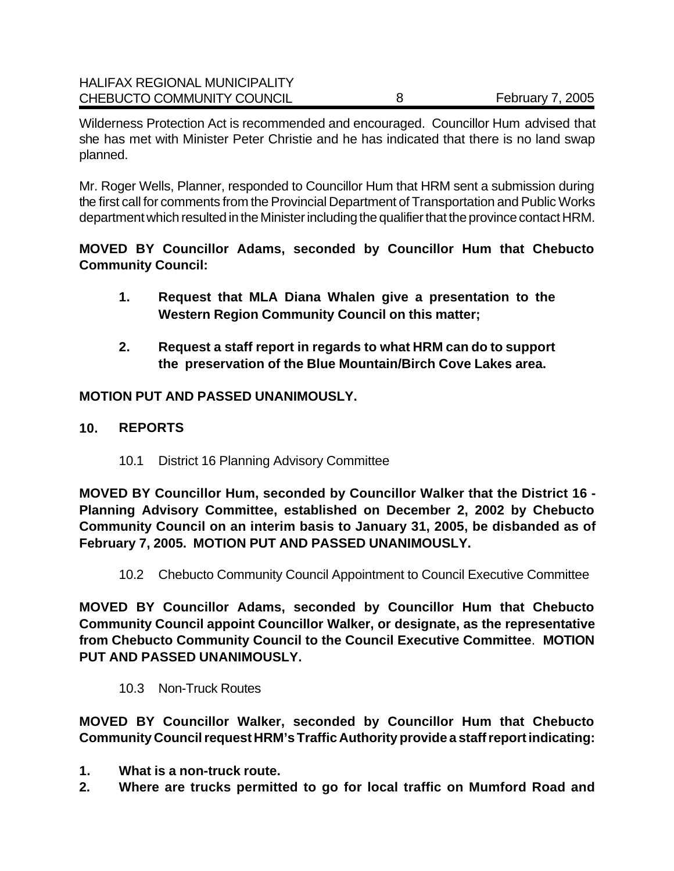| <b>HALIFAX REGIONAL MUNICIPALITY</b> |                         |
|--------------------------------------|-------------------------|
| CHEBUCTO COMMUNITY COUNCIL           | <b>February 7, 2005</b> |

Wilderness Protection Act is recommended and encouraged. Councillor Hum advised that she has met with Minister Peter Christie and he has indicated that there is no land swap planned.

Mr. Roger Wells, Planner, responded to Councillor Hum that HRM sent a submission during the first call for comments from the Provincial Department of Transportation and Public Works department which resulted in the Minister including the qualifier that the province contact HRM.

**MOVED BY Councillor Adams, seconded by Councillor Hum that Chebucto Community Council:**

- **1. Request that MLA Diana Whalen give a presentation to the Western Region Community Council on this matter;**
- **2. Request a staff report in regards to what HRM can do to support the preservation of the Blue Mountain/Birch Cove Lakes area.**

## **MOTION PUT AND PASSED UNANIMOUSLY.**

- **10. REPORTS**
	- 10.1 District 16 Planning Advisory Committee

**MOVED BY Councillor Hum, seconded by Councillor Walker that the District 16 - Planning Advisory Committee, established on December 2, 2002 by Chebucto Community Council on an interim basis to January 31, 2005, be disbanded as of February 7, 2005. MOTION PUT AND PASSED UNANIMOUSLY.** 

10.2 Chebucto Community Council Appointment to Council Executive Committee

**MOVED BY Councillor Adams, seconded by Councillor Hum that Chebucto Community Council appoint Councillor Walker, or designate, as the representative from Chebucto Community Council to the Council Executive Committee**. **MOTION PUT AND PASSED UNANIMOUSLY.** 

10.3 Non-Truck Routes

**MOVED BY Councillor Walker, seconded by Councillor Hum that Chebucto Community Council request HRM's Traffic Authority provide a staff report indicating:**

- **1. What is a non-truck route.**
- **2. Where are trucks permitted to go for local traffic on Mumford Road and**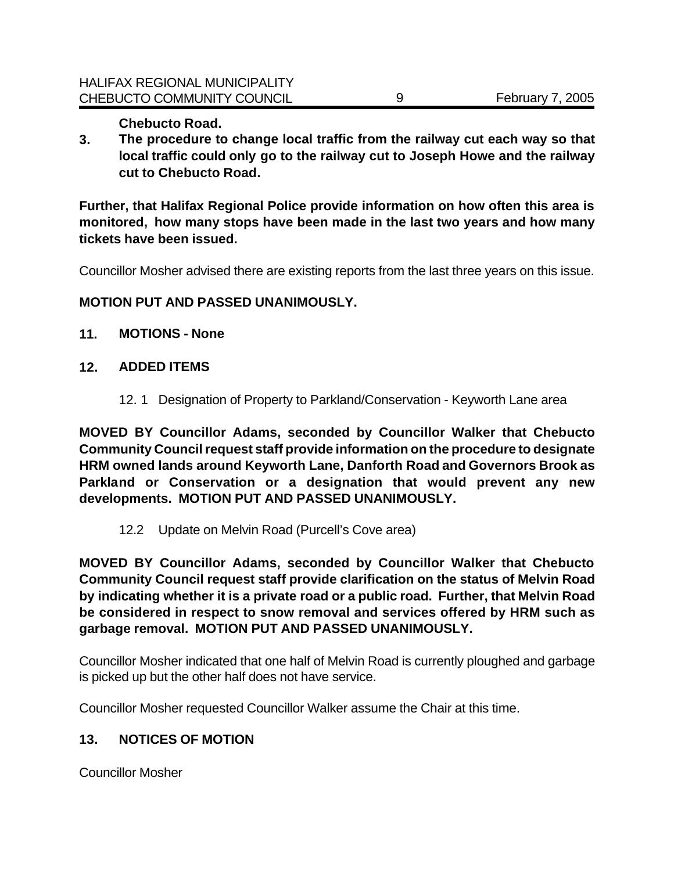**Chebucto Road.**

**3. The procedure to change local traffic from the railway cut each way so that local traffic could only go to the railway cut to Joseph Howe and the railway cut to Chebucto Road.**

**Further, that Halifax Regional Police provide information on how often this area is monitored, how many stops have been made in the last two years and how many tickets have been issued.** 

Councillor Mosher advised there are existing reports from the last three years on this issue.

### **MOTION PUT AND PASSED UNANIMOUSLY.**

- **11. MOTIONS None**
- **12. ADDED ITEMS**
	- 12. 1 Designation of Property to Parkland/Conservation Keyworth Lane area

**MOVED BY Councillor Adams, seconded by Councillor Walker that Chebucto Community Council request staff provide information on the procedure to designate HRM owned lands around Keyworth Lane, Danforth Road and Governors Brook as Parkland or Conservation or a designation that would prevent any new developments. MOTION PUT AND PASSED UNANIMOUSLY.** 

12.2 Update on Melvin Road (Purcell's Cove area)

**MOVED BY Councillor Adams, seconded by Councillor Walker that Chebucto Community Council request staff provide clarification on the status of Melvin Road by indicating whether it is a private road or a public road. Further, that Melvin Road be considered in respect to snow removal and services offered by HRM such as garbage removal. MOTION PUT AND PASSED UNANIMOUSLY.** 

Councillor Mosher indicated that one half of Melvin Road is currently ploughed and garbage is picked up but the other half does not have service.

Councillor Mosher requested Councillor Walker assume the Chair at this time.

## **13. NOTICES OF MOTION**

Councillor Mosher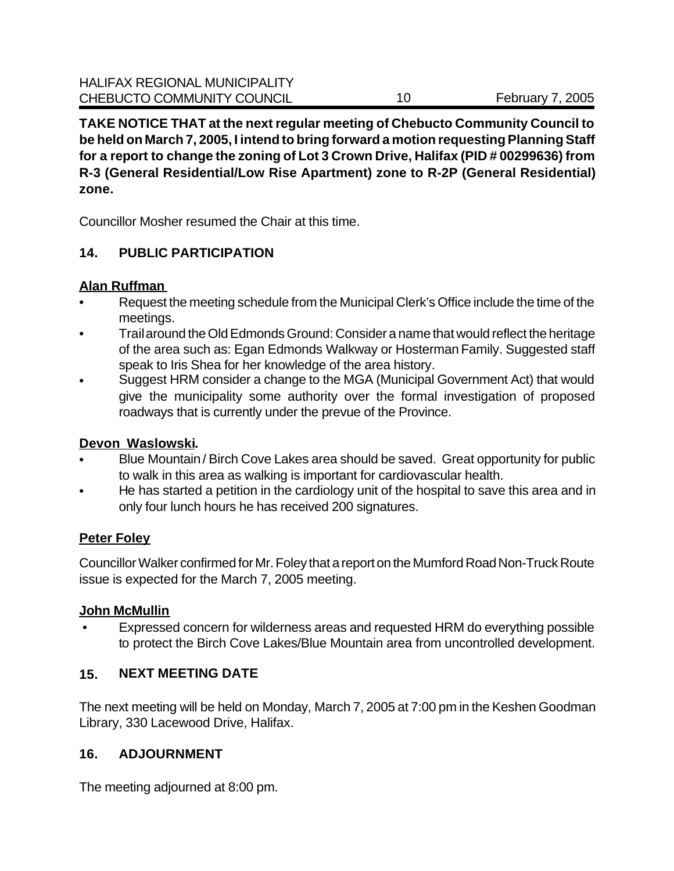**TAKE NOTICE THAT at the next regular meeting of Chebucto Community Council to be held on March 7, 2005, I intend to bring forward a motion requesting Planning Staff for a report to change the zoning of Lot 3 Crown Drive, Halifax (PID # 00299636) from R-3 (General Residential/Low Rise Apartment) zone to R-2P (General Residential) zone.** 

Councillor Mosher resumed the Chair at this time.

## **14. PUBLIC PARTICIPATION**

#### **Alan Ruffman**

- Request the meeting schedule from the Municipal Clerk's Office include the time of the meetings.
- Trail around the Old Edmonds Ground: Consider a name that would reflect the heritage of the area such as: Egan Edmonds Walkway or Hosterman Family. Suggested staff speak to Iris Shea for her knowledge of the area history.
- Suggest HRM consider a change to the MGA (Municipal Government Act) that would give the municipality some authority over the formal investigation of proposed roadways that is currently under the prevue of the Province.

#### **Devon Waslowski.**

- Blue Mountain / Birch Cove Lakes area should be saved. Great opportunity for public to walk in this area as walking is important for cardiovascular health.
- He has started a petition in the cardiology unit of the hospital to save this area and in only four lunch hours he has received 200 signatures.

## **Peter Foley**

Councillor Walker confirmed for Mr. Foley that a report on the Mumford Road Non-Truck Route issue is expected for the March 7, 2005 meeting.

#### **John McMullin**

 • Expressed concern for wilderness areas and requested HRM do everything possible to protect the Birch Cove Lakes/Blue Mountain area from uncontrolled development.

## **15. NEXT MEETING DATE**

The next meeting will be held on Monday, March 7, 2005 at 7:00 pm in the Keshen Goodman Library, 330 Lacewood Drive, Halifax.

#### **16. ADJOURNMENT**

The meeting adjourned at 8:00 pm.